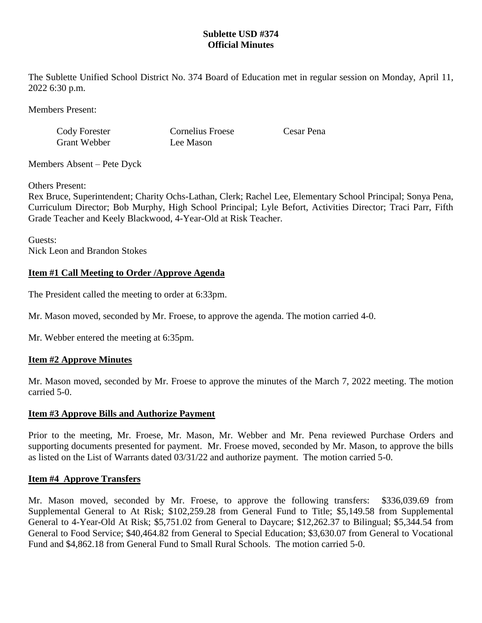### **Sublette USD #374 Official Minutes**

The Sublette Unified School District No. 374 Board of Education met in regular session on Monday, April 11, 2022 6:30 p.m.

Members Present:

Cody Forester Cornelius Froese Cesar Pena Grant Webber Lee Mason

Members Absent – Pete Dyck

Others Present:

Rex Bruce, Superintendent; Charity Ochs-Lathan, Clerk; Rachel Lee, Elementary School Principal; Sonya Pena, Curriculum Director; Bob Murphy, High School Principal; Lyle Befort, Activities Director; Traci Parr, Fifth Grade Teacher and Keely Blackwood, 4-Year-Old at Risk Teacher.

Guests: Nick Leon and Brandon Stokes

# **Item #1 Call Meeting to Order /Approve Agenda**

The President called the meeting to order at 6:33pm.

Mr. Mason moved, seconded by Mr. Froese, to approve the agenda. The motion carried 4-0.

Mr. Webber entered the meeting at 6:35pm.

### **Item #2 Approve Minutes**

Mr. Mason moved, seconded by Mr. Froese to approve the minutes of the March 7, 2022 meeting. The motion carried 5-0.

### **Item #3 Approve Bills and Authorize Payment**

Prior to the meeting, Mr. Froese, Mr. Mason, Mr. Webber and Mr. Pena reviewed Purchase Orders and supporting documents presented for payment. Mr. Froese moved, seconded by Mr. Mason, to approve the bills as listed on the List of Warrants dated 03/31/22 and authorize payment. The motion carried 5-0.

### **Item #4 Approve Transfers**

Mr. Mason moved, seconded by Mr. Froese, to approve the following transfers: \$336,039.69 from Supplemental General to At Risk; \$102,259.28 from General Fund to Title; \$5,149.58 from Supplemental General to 4-Year-Old At Risk; \$5,751.02 from General to Daycare; \$12,262.37 to Bilingual; \$5,344.54 from General to Food Service; \$40,464.82 from General to Special Education; \$3,630.07 from General to Vocational Fund and \$4,862.18 from General Fund to Small Rural Schools. The motion carried 5-0.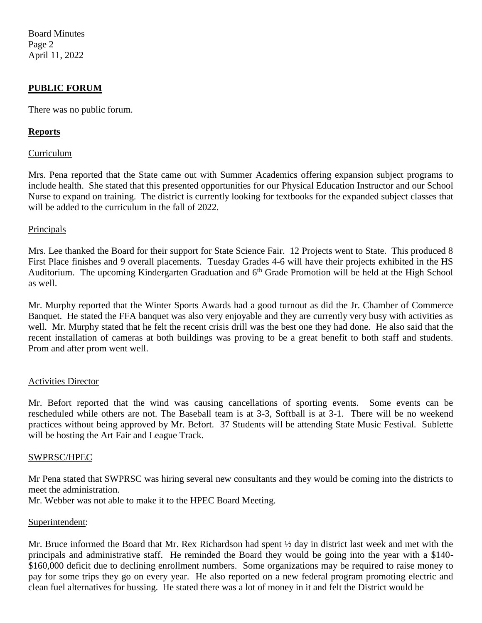Board Minutes Page 2 April 11, 2022

### **PUBLIC FORUM**

There was no public forum.

### **Reports**

### Curriculum

Mrs. Pena reported that the State came out with Summer Academics offering expansion subject programs to include health. She stated that this presented opportunities for our Physical Education Instructor and our School Nurse to expand on training. The district is currently looking for textbooks for the expanded subject classes that will be added to the curriculum in the fall of 2022.

### **Principals**

Mrs. Lee thanked the Board for their support for State Science Fair. 12 Projects went to State. This produced 8 First Place finishes and 9 overall placements. Tuesday Grades 4-6 will have their projects exhibited in the HS Auditorium. The upcoming Kindergarten Graduation and 6<sup>th</sup> Grade Promotion will be held at the High School as well.

Mr. Murphy reported that the Winter Sports Awards had a good turnout as did the Jr. Chamber of Commerce Banquet. He stated the FFA banquet was also very enjoyable and they are currently very busy with activities as well. Mr. Murphy stated that he felt the recent crisis drill was the best one they had done. He also said that the recent installation of cameras at both buildings was proving to be a great benefit to both staff and students. Prom and after prom went well.

### Activities Director

Mr. Befort reported that the wind was causing cancellations of sporting events. Some events can be rescheduled while others are not. The Baseball team is at 3-3, Softball is at 3-1. There will be no weekend practices without being approved by Mr. Befort. 37 Students will be attending State Music Festival. Sublette will be hosting the Art Fair and League Track.

#### SWPRSC/HPEC

Mr Pena stated that SWPRSC was hiring several new consultants and they would be coming into the districts to meet the administration.

Mr. Webber was not able to make it to the HPEC Board Meeting.

#### Superintendent:

Mr. Bruce informed the Board that Mr. Rex Richardson had spent  $\frac{1}{2}$  day in district last week and met with the principals and administrative staff. He reminded the Board they would be going into the year with a \$140- \$160,000 deficit due to declining enrollment numbers. Some organizations may be required to raise money to pay for some trips they go on every year. He also reported on a new federal program promoting electric and clean fuel alternatives for bussing. He stated there was a lot of money in it and felt the District would be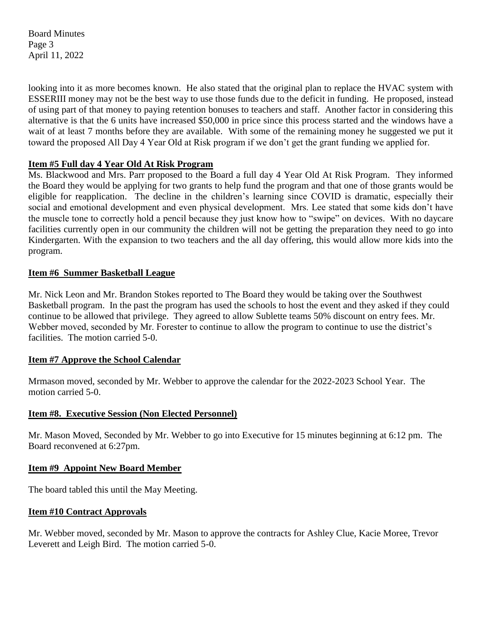Board Minutes Page 3 April 11, 2022

looking into it as more becomes known. He also stated that the original plan to replace the HVAC system with ESSERIII money may not be the best way to use those funds due to the deficit in funding. He proposed, instead of using part of that money to paying retention bonuses to teachers and staff. Another factor in considering this alternative is that the 6 units have increased \$50,000 in price since this process started and the windows have a wait of at least 7 months before they are available. With some of the remaining money he suggested we put it toward the proposed All Day 4 Year Old at Risk program if we don't get the grant funding we applied for.

# **Item #5 Full day 4 Year Old At Risk Program**

Ms. Blackwood and Mrs. Parr proposed to the Board a full day 4 Year Old At Risk Program. They informed the Board they would be applying for two grants to help fund the program and that one of those grants would be eligible for reapplication. The decline in the children's learning since COVID is dramatic, especially their social and emotional development and even physical development. Mrs. Lee stated that some kids don't have the muscle tone to correctly hold a pencil because they just know how to "swipe" on devices. With no daycare facilities currently open in our community the children will not be getting the preparation they need to go into Kindergarten. With the expansion to two teachers and the all day offering, this would allow more kids into the program.

# **Item #6 Summer Basketball League**

Mr. Nick Leon and Mr. Brandon Stokes reported to The Board they would be taking over the Southwest Basketball program. In the past the program has used the schools to host the event and they asked if they could continue to be allowed that privilege. They agreed to allow Sublette teams 50% discount on entry fees. Mr. Webber moved, seconded by Mr. Forester to continue to allow the program to continue to use the district's facilities. The motion carried 5-0.

# **Item #7 Approve the School Calendar**

Mrmason moved, seconded by Mr. Webber to approve the calendar for the 2022-2023 School Year. The motion carried 5-0.

# **Item #8. Executive Session (Non Elected Personnel)**

Mr. Mason Moved, Seconded by Mr. Webber to go into Executive for 15 minutes beginning at 6:12 pm. The Board reconvened at 6:27pm.

# **Item #9 Appoint New Board Member**

The board tabled this until the May Meeting.

# **Item #10 Contract Approvals**

Mr. Webber moved, seconded by Mr. Mason to approve the contracts for Ashley Clue, Kacie Moree, Trevor Leverett and Leigh Bird. The motion carried 5-0.